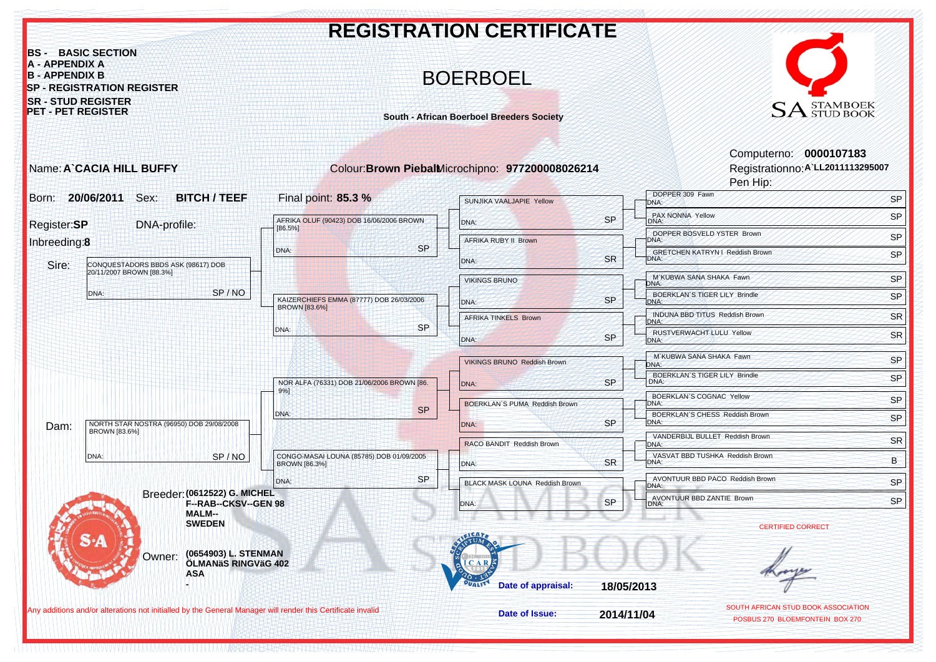

HERE IN THE LITTER OF A STATISTIC RELEASED FOR A STATISTIC CONTRACT THE CONTRACT CONTRACT AND INTERFERENCE IN THE CONTRACT OF A STATISTIC CONTRACT OF A STATISTIC CONTRACT OF A STATISTIC CONTRACT OF A STATISTIC CONTRACT OF